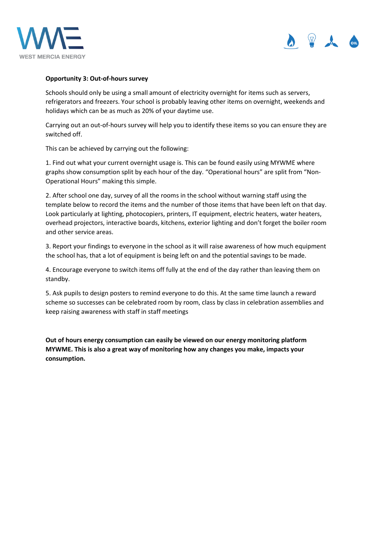



## **Opportunity 3: Out-of-hours survey**

Schools should only be using a small amount of electricity overnight for items such as servers, refrigerators and freezers. Your school is probably leaving other items on overnight, weekends and holidays which can be as much as 20% of your daytime use.

Carrying out an out-of-hours survey will help you to identify these items so you can ensure they are switched off.

This can be achieved by carrying out the following:

1. Find out what your current overnight usage is. This can be found easily using MYWME where graphs show consumption split by each hour of the day. "Operational hours" are split from "Non-Operational Hours" making this simple.

2. After school one day, survey of all the rooms in the school without warning staff using the template below to record the items and the number of those items that have been left on that day. Look particularly at lighting, photocopiers, printers, IT equipment, electric heaters, water heaters, overhead projectors, interactive boards, kitchens, exterior lighting and don't forget the boiler room and other service areas.

3. Report your findings to everyone in the school as it will raise awareness of how much equipment the school has, that a lot of equipment is being left on and the potential savings to be made.

4. Encourage everyone to switch items off fully at the end of the day rather than leaving them on standby.

5. Ask pupils to design posters to remind everyone to do this. At the same time launch a reward scheme so successes can be celebrated room by room, class by class in celebration assemblies and keep raising awareness with staff in staff meetings

**Out of hours energy consumption can easily be viewed on our energy monitoring platform MYWME. This is also a great way of monitoring how any changes you make, impacts your consumption.**